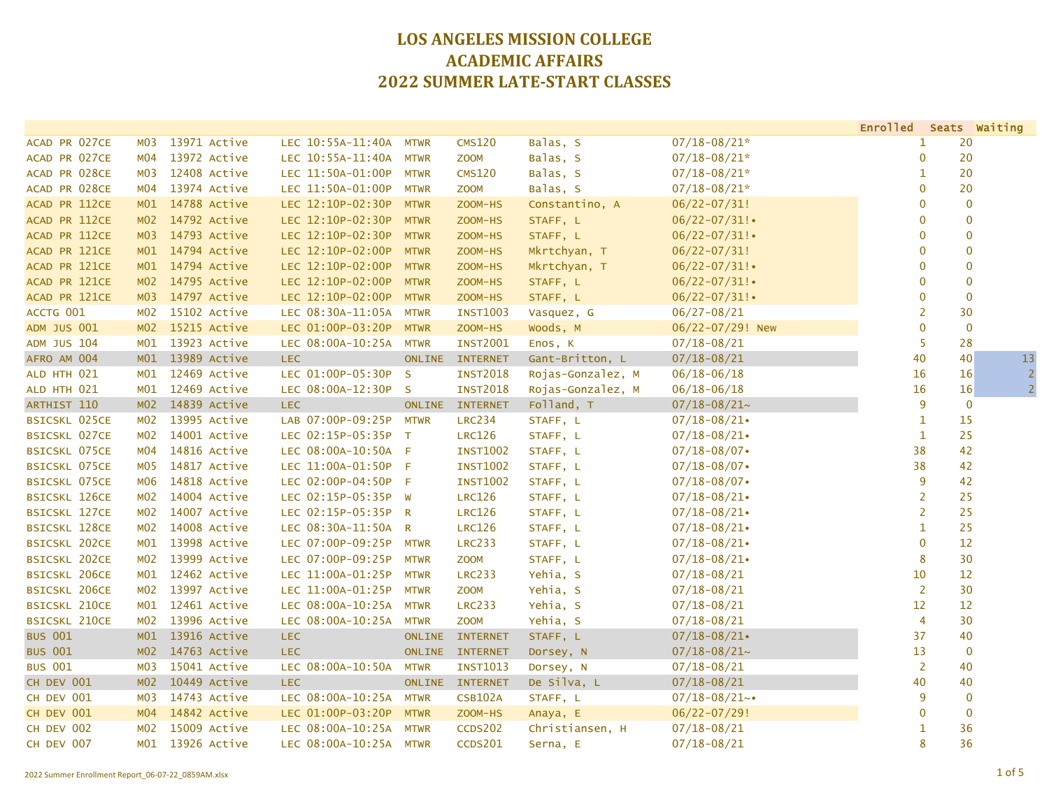|                      |                  |                  |                        |               |                 |                   |                    | Enrolled Seats Waiting |                   |                |
|----------------------|------------------|------------------|------------------------|---------------|-----------------|-------------------|--------------------|------------------------|-------------------|----------------|
| ACAD PR 027CE        | MO3              | 13971 Active     | LEC 10:55A-11:40A      | <b>MTWR</b>   | <b>CMS120</b>   | Balas, S          | $07/18 - 08/21*$   | 1                      | 20                |                |
| ACAD PR 027CE        | MO4              | 13972 Active     | LEC 10:55A-11:40A      | <b>MTWR</b>   | <b>ZOOM</b>     | Balas, S          | $07/18 - 08/21*$   | $\mathbf{0}$           | 20                |                |
| ACAD PR 028CE        | MO3              | 12408 Active     | LEC 11:50A-01:00P      | <b>MTWR</b>   | <b>CMS120</b>   | Balas, S          | $07/18 - 08/21*$   | $\mathbf{1}$           | 20                |                |
| ACAD PR 028CE        | M04              | 13974 Active     | LEC 11:50A-01:00P      | <b>MTWR</b>   | <b>ZOOM</b>     | Balas, S          | $07/18 - 08/21*$   | $\mathbf 0$            | 20                |                |
| ACAD PR 112CE        | M01              | 14788 Active     | LEC 12:10P-02:30P      | <b>MTWR</b>   | ZOOM-HS         | Constantino, A    | $06/22 - 07/31!$   | $\mathbf{0}$           | $\mathbf{0}$      |                |
| ACAD PR 112CE        | MO2              | 14792 Active     | LEC 12:10P-02:30P      | <b>MTWR</b>   | ZOOM-HS         | STAFF, L          | $06/22 - 07/31!$   | $\mathbf 0$            |                   | $\mathbf{0}$   |
| ACAD PR 112CE        | MO3              | 14793 Active     | LEC 12:10P-02:30P      | <b>MTWR</b>   | ZOOM-HS         | STAFF, L          | $06/22 - 07/31$ !  | $\mathbf{0}$           |                   | $\mathbf{0}$   |
| ACAD PR 121CE        |                  | M01 14794 Active | LEC 12:10P-02:00P      | <b>MTWR</b>   | ZOOM-HS         | Mkrtchyan, T      | $06/22 - 07/31!$   | $\mathbf 0$            |                   | $\pmb{0}$      |
| ACAD PR 121CE        | M <sub>01</sub>  | 14794 Active     | LEC 12:10P-02:00P      | <b>MTWR</b>   | ZOOM-HS         | Mkrtchyan, T      | $06/22 - 07/31!$   | $\mathbf 0$            |                   | $\overline{0}$ |
| ACAD PR 121CE        | MO2              | 14795 Active     | LEC 12:10P-02:00P      | <b>MTWR</b>   | ZOOM-HS         | STAFF, L          | $06/22 - 07/31!$   | $\mathbf 0$            | $\mathbf{0}$      |                |
| ACAD PR 121CE        | MO3              | 14797 Active     | LEC 12:10P-02:00P      | <b>MTWR</b>   | ZOOM-HS         | STAFF, L          | $06/22 - 07/31!$   | $\mathbf 0$            | $\mathbf 0$       |                |
| ACCTG 001            | MO2              | 15102 Active     | LEC 08:30A-11:05A      | <b>MTWR</b>   | <b>INST1003</b> | Vasquez, G        | $06/27 - 08/21$    | $\overline{2}$         | 30                |                |
| <b>ADM JUS 001</b>   | M <sub>02</sub>  | 15215 Active     | LEC 01:00P-03:20P      | <b>MTWR</b>   | ZOOM-HS         | Woods, M          | 06/22-07/29! New   | $\mathbf 0$            | $\overline{0}$    |                |
| <b>ADM JUS 104</b>   | MO1              | 13923 Active     | LEC 08:00A-10:25A MTWR |               | <b>INST2001</b> | Enos, K           | $07/18 - 08/21$    | 5                      | 28                |                |
| AFRO AM 004          | M <sub>01</sub>  | 13989 Active     | LEC.                   | <b>ONLINE</b> | <b>INTERNET</b> | Gant-Britton, L   | $07/18 - 08/21$    | 40                     | 40                | 13             |
| ALD HTH 021          | MO1              | 12469 Active     | LEC 01:00P-05:30P      | $\mathsf{S}$  | <b>INST2018</b> | Rojas-Gonzalez, M | $06/18 - 06/18$    | 16                     | 16                | 2              |
| ALD HTH 021          | M <sub>01</sub>  | 12469 Active     | LEC 08:00A-12:30P      | $\mathsf{S}$  | <b>INST2018</b> | Rojas-Gonzalez, M | $06/18 - 06/18$    | 16                     | 16                | $\overline{2}$ |
| ARTHIST 110          | M <sub>02</sub>  | 14839 Active     | <b>LEC</b>             | <b>ONLINE</b> | <b>INTERNET</b> | Folland, T        | $07/18 - 08/21$ ~  | 9                      | $\mathbf 0$       |                |
| BSICSKL 025CE        | MO2              | 13995 Active     | LAB 07:00P-09:25P      | <b>MTWR</b>   | <b>LRC234</b>   | STAFF, L          | $07/18 - 08/21$    | $\mathbf{1}$           | 15                |                |
| <b>BSICSKL 027CE</b> | M02              | 14001 Active     | LEC 02:15P-05:35P      | $\top$        | <b>LRC126</b>   | STAFF, L          | $07/18 - 08/21$    | $\mathbf{1}$           | 25                |                |
| <b>BSICSKL 075CE</b> | M04              | 14816 Active     | LEC 08:00A-10:50A      | -F            | <b>INST1002</b> | STAFF, L          | $07/18 - 08/07$    | 38                     | 42                |                |
| <b>BSICSKL 075CE</b> | <b>MO5</b>       | 14817 Active     | LEC 11:00A-01:50P      | - F           | <b>INST1002</b> | STAFF, L          | $07/18 - 08/07$    | 38                     | 42                |                |
| <b>BSICSKL 075CE</b> | <b>MO6</b>       | 14818 Active     | LEC 02:00P-04:50P      | $-F$          | <b>INST1002</b> | STAFF, L          | $07/18 - 08/07$    | 9                      | 42                |                |
| <b>BSICSKL 126CE</b> | M <sub>0</sub> 2 | 14004 Active     | LEC 02:15P-05:35P W    |               | <b>LRC126</b>   | STAFF, L          | $07/18 - 08/21$    | $\overline{2}$         | 25                |                |
| <b>BSICSKL 127CE</b> | M02              | 14007 Active     | LEC 02:15P-05:35P R    |               | <b>LRC126</b>   | STAFF, L          | $07/18 - 08/21$    | $\overline{2}$         | 25                |                |
| <b>BSICSKL 128CE</b> | M02              | 14008 Active     | LEC 08:30A-11:50A      | R             | <b>LRC126</b>   | STAFF, L          | $07/18 - 08/21$    | $\mathbf{1}$           | 25                |                |
| <b>BSICSKL 202CE</b> | MO1              | 13998 Active     | LEC 07:00P-09:25P      | <b>MTWR</b>   | <b>LRC233</b>   | STAFF, L          | $07/18 - 08/21$    | $\mathbf 0$            | 12                |                |
| <b>BSICSKL 202CE</b> | M02              | 13999 Active     | LEC 07:00P-09:25P      | <b>MTWR</b>   | <b>ZOOM</b>     | STAFF, L          | $07/18 - 08/21$    | 8                      | 30                |                |
| <b>BSICSKL 206CE</b> | MO1              | 12462 Active     | LEC 11:00A-01:25P      | <b>MTWR</b>   | <b>LRC233</b>   | Yehia, S          | $07/18 - 08/21$    | 10                     | $12 \overline{ }$ |                |
| <b>BSICSKL 206CE</b> | MO2              | 13997 Active     | LEC 11:00A-01:25P      | <b>MTWR</b>   | <b>ZOOM</b>     | Yehia, S          | $07/18 - 08/21$    | $\overline{2}$         | 30                |                |
| <b>BSICSKL 210CE</b> | MO1              | 12461 Active     | LEC 08:00A-10:25A      | <b>MTWR</b>   | <b>LRC233</b>   | Yehia, S          | $07/18 - 08/21$    | $12 \overline{ }$      | 12                |                |
| <b>BSICSKL 210CE</b> | M02              | 13996 Active     | LEC 08:00A-10:25A      | <b>MTWR</b>   | <b>ZOOM</b>     | Yehia, S          | $07/18 - 08/21$    | $\overline{4}$         | 30                |                |
| <b>BUS 001</b>       | M <sub>01</sub>  | 13916 Active     | <b>LEC</b>             | <b>ONLINE</b> | <b>INTERNET</b> | STAFF, L          | $07/18 - 08/21$    | 37                     | 40                |                |
| <b>BUS 001</b>       | MO2              | 14763 Active     | LEC.                   | <b>ONLINE</b> | <b>INTERNET</b> | Dorsey, N         | $07/18 - 08/21$ ~  | 13                     | $\mathbf 0$       |                |
| <b>BUS 001</b>       | MO3              | 15041 Active     | LEC 08:00A-10:50A      | <b>MTWR</b>   | <b>INST1013</b> | Dorsey, N         | $07/18 - 08/21$    | $\overline{2}$         | 40                |                |
| CH DEV 001           | MO2              | 10449 Active     | <b>LEC</b>             | <b>ONLINE</b> | <b>INTERNET</b> | De Silva, L       | $07/18 - 08/21$    | 40                     | 40                |                |
| CH DEV 001           | M03              | 14743 Active     | LEC 08:00A-10:25A      | <b>MTWR</b>   | <b>CSB102A</b>  | STAFF, L          | $07/18 - 08/21$ ~• | 9                      | $\mathbf{0}$      |                |
| CH DEV 001           | M <sub>04</sub>  | 14842 Active     | LEC 01:00P-03:20P      | <b>MTWR</b>   | ZOOM-HS         | Anaya, E          | $06/22 - 07/29!$   | $\mathbf 0$            | $\mathbf 0$       |                |
| CH DEV 002           | M02              | 15009 Active     | LEC 08:00A-10:25A      | <b>MTWR</b>   | <b>CCDS202</b>  | Christiansen, H   | $07/18 - 08/21$    | 1                      | 36                |                |
| CH DEV 007           | MO1              | 13926 Active     | LEC 08:00A-10:25A MTWR |               | <b>CCDS201</b>  | Serna, E          | $07/18 - 08/21$    | 8                      | 36                |                |
|                      |                  |                  |                        |               |                 |                   |                    |                        |                   |                |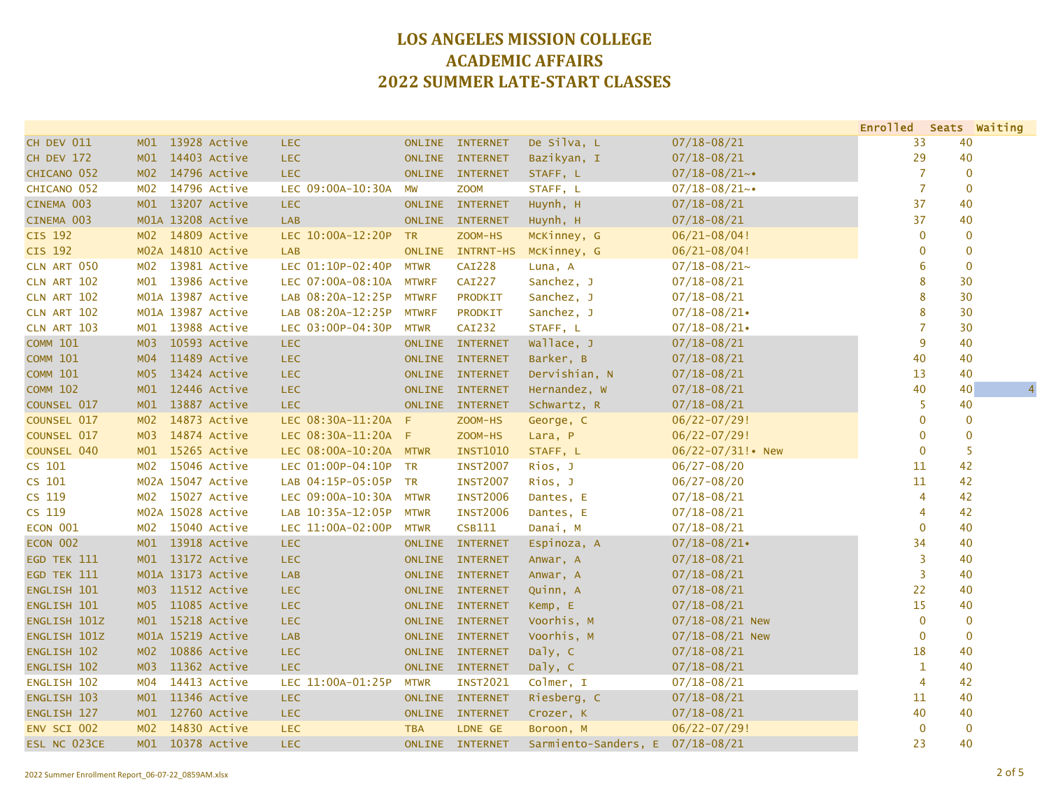|                    |                 |                   |                        |               |                  |                                  |                     | Enrolled Seats Waiting |    |                |
|--------------------|-----------------|-------------------|------------------------|---------------|------------------|----------------------------------|---------------------|------------------------|----|----------------|
| CH DEV 011         | MO1             | 13928 Active      | <b>LEC</b>             |               | ONLINE INTERNET  | De Silva, L                      | $07/18 - 08/21$     | 33                     | 40 |                |
| CH DEV 172         |                 | M01 14403 Active  | <b>LEC</b>             |               | ONLINE INTERNET  | Bazikyan, I                      | $07/18 - 08/21$     | 29                     | 40 |                |
| CHICANO 052        |                 | M02 14796 Active  | <b>LEC</b>             |               | ONLINE INTERNET  | STAFF, L                         | $07/18 - 08/21$ ~•  | $\overline{7}$         |    | $\overline{0}$ |
| CHICANO 052        |                 | M02 14796 Active  | LEC 09:00A-10:30A      | <b>MW</b>     | <b>ZOOM</b>      | STAFF, L                         | $07/18 - 08/21$ ~•  | $\overline{7}$         |    | $\overline{0}$ |
| CINEMA 003         |                 | M01 13207 Active  | <b>LEC</b>             | <b>ONLINE</b> | <b>INTERNET</b>  | Huynh, H                         | $07/18 - 08/21$     | 37                     |    | 40             |
| CINEMA 003         |                 | M01A 13208 Active | LAB                    | <b>ONLINE</b> | <b>INTERNET</b>  | Huynh, H                         | $07/18 - 08/21$     | 37                     | 40 |                |
| <b>CIS 192</b>     |                 | M02 14809 Active  | LEC 10:00A-12:20P      | <b>TR</b>     | ZOOM-HS          | McKinney, G                      | $06/21 - 08/04!$    | $\mathbf{0}$           |    | 0              |
| CIS 192            |                 | M02A 14810 Active | <b>LAB</b>             | <b>ONLINE</b> | <b>INTRNT-HS</b> | McKinney, G                      | $06/21 - 08/04!$    | $\mathbf{0}$           |    | 0              |
| CLN ART 050        | MO2             | 13981 Active      | LEC 01:10P-02:40P      | <b>MTWR</b>   | <b>CAI228</b>    | Luna, A                          | $07/18 - 08/21$ ~   | 6                      |    | $\mathbf 0$    |
| CLN ART 102        | MO1             | 13986 Active      | LEC 07:00A-08:10A      | <b>MTWRF</b>  | <b>CAI227</b>    | Sanchez, J                       | $07/18 - 08/21$     | 8                      |    | 30             |
| CLN ART 102        |                 | M01A 13987 Active | LAB 08:20A-12:25P      | <b>MTWRF</b>  | <b>PRODKIT</b>   | Sanchez, J                       | $07/18 - 08/21$     | 8                      | 30 |                |
| CLN ART 102        |                 | M01A 13987 Active | LAB 08:20A-12:25P      | <b>MTWRF</b>  | <b>PRODKIT</b>   | Sanchez, J                       | $07/18 - 08/21$     | 8                      | 30 |                |
| CLN ART 103        | MO1             | 13988 Active      | LEC 03:00P-04:30P      | <b>MTWR</b>   | <b>CAI232</b>    | STAFF, L                         | $07/18 - 08/21$     | $\overline{7}$         |    | 30             |
| <b>COMM 101</b>    | <b>MO3</b>      | 10593 Active      | <b>LEC</b>             | <b>ONLINE</b> | <b>INTERNET</b>  | Wallace, J                       | $07/18 - 08/21$     | 9                      | 40 |                |
| <b>COMM 101</b>    | MO4             | 11489 Active      | <b>LEC</b>             | <b>ONLINE</b> | <b>INTERNET</b>  | Barker, B                        | $07/18 - 08/21$     | 40                     | 40 |                |
| <b>COMM 101</b>    | MO <sub>5</sub> | 13424 Active      | <b>LEC</b>             | <b>ONLINE</b> | <b>INTERNET</b>  | Dervishian, N                    | $07/18 - 08/21$     | 13                     | 40 |                |
| <b>COMM 102</b>    | M01             | 12446 Active      | <b>LEC</b>             | <b>ONLINE</b> | <b>INTERNET</b>  | Hernandez, W                     | $07/18 - 08/21$     | 40                     | 40 | $\overline{4}$ |
| COUNSEL 017        | M01             | 13887 Active      | <b>LEC</b>             | <b>ONLINE</b> | <b>INTERNET</b>  | Schwartz, R                      | $07/18 - 08/21$     | 5                      |    | 40             |
| COUNSEL 017        | MO2             | 14873 Active      | LEC 08:30A-11:20A      | -F            | ZOOM-HS          | George, C                        | $06/22 - 07/29!$    | $\mathbf{0}$           |    | 0              |
| COUNSEL 017        | M <sub>03</sub> | 14874 Active      | LEC 08:30A-11:20A      | F             | ZOOM-HS          | Lara, P                          | $06/22 - 07/29!$    | $\overline{0}$         |    | $\overline{0}$ |
| COUNSEL 040        | M01             | 15265 Active      | LEC 08:00A-10:20A MTWR |               | <b>INST1010</b>  | STAFF, L                         | 06/22-07/31! • New  | $\mathbf{0}$           |    | 5              |
| CS 101             | M02             | 15046 Active      | LEC 01:00P-04:10P      | <b>TR</b>     | <b>INST2007</b>  | Rios, J                          | $06/27 - 08/20$     | 11                     | 42 |                |
| CS 101             |                 | M02A 15047 Active | LAB 04:15P-05:05P TR   |               | <b>INST2007</b>  | Rios, J                          | $06/27 - 08/20$     | 11                     | 42 |                |
| CS 119             |                 | M02 15027 Active  | LEC 09:00A-10:30A      | <b>MTWR</b>   | <b>INST2006</b>  | Dantes, E                        | $07/18 - 08/21$     | $\overline{4}$         | 42 |                |
| CS 119             |                 | M02A 15028 Active | LAB 10:35A-12:05P      | <b>MTWR</b>   | <b>INST2006</b>  | Dantes, E                        | $07/18 - 08/21$     | 4                      | 42 |                |
| ECON 001           |                 | M02 15040 Active  | LEC 11:00A-02:00P      | <b>MTWR</b>   | <b>CSB111</b>    | Danai, M                         | $07/18 - 08/21$     | $\overline{0}$         |    | 40             |
| ECON 002           | M01             | 13918 Active      | <b>LEC</b>             | <b>ONLINE</b> | <b>INTERNET</b>  | Espinoza, A                      | $07/18 - 08/21$     | 34                     | 40 |                |
| EGD TEK 111        |                 | M01 13172 Active  | <b>LEC</b>             | <b>ONLINE</b> | <b>INTERNET</b>  | Anwar, A                         | $07/18 - 08/21$     | $\overline{3}$         | 40 |                |
| EGD TEK 111        |                 | M01A 13173 Active | <b>LAB</b>             |               | ONLINE INTERNET  | Anwar, A                         | $07/18 - 08/21$     | $\overline{3}$         |    | 40             |
| <b>ENGLISH 101</b> |                 | M03 11512 Active  | <b>LEC</b>             |               | ONLINE INTERNET  | Quinn, A                         | $07/18 - 08/21$     | 22                     |    | 40             |
| ENGLISH 101        | MOS             | 11085 Active      | <b>LEC</b>             |               | ONLINE INTERNET  | Kemp, E                          | $07/18 - 08/21$     | 15                     |    | 40             |
| ENGLISH 101Z       |                 | M01 15218 Active  | <b>LEC</b>             |               | ONLINE INTERNET  | Voorhis, M                       | $07/18 - 08/21$ New | $\mathbf 0$            |    | 0              |
| ENGLISH 101Z       |                 | M01A 15219 Active | <b>LAB</b>             |               | ONLINE INTERNET  | Voorhis, M                       | $07/18 - 08/21$ New | $\bf{0}$               |    | $\mathbf 0$    |
| ENGLISH 102        |                 | M02 10886 Active  | <b>LEC</b>             |               | ONLINE INTERNET  | Daly, C                          | $07/18 - 08/21$     | 18                     | 40 |                |
| ENGLISH 102        | M <sub>03</sub> | 11362 Active      | <b>LEC</b>             |               | ONLINE INTERNET  | Daly, C                          | $07/18 - 08/21$     | $\mathbf{1}$           |    | 40             |
| <b>ENGLISH 102</b> | MO4             | 14413 Active      | LEC 11:00A-01:25P      | <b>MTWR</b>   | <b>INST2021</b>  | Colmer, I                        | $07/18 - 08/21$     | $\overline{4}$         |    | 42             |
| ENGLISH 103        |                 | M01 11346 Active  | <b>LEC</b>             | <b>ONLINE</b> | <b>INTERNET</b>  | Riesberg, C                      | $07/18 - 08/21$     | 11                     |    | 40             |
| ENGLISH 127        | M01             | 12760 Active      | <b>LEC</b>             |               | ONLINE INTERNET  | Crozer, K                        | $07/18 - 08/21$     | 40                     |    | 40             |
| ENV SCI 002        | MO2             | 14830 Active      | <b>LEC</b>             | <b>TBA</b>    | LDNE GE          | Boroon, M                        | $06/22 - 07/29!$    | $\mathbf 0$            |    | $\mathbf 0$    |
| ESL NC 023CE       |                 | M01 10378 Active  | <b>LEC</b>             |               | ONLINE INTERNET  | Sarmiento-Sanders, E 07/18-08/21 |                     | 23                     |    | 40             |
|                    |                 |                   |                        |               |                  |                                  |                     |                        |    |                |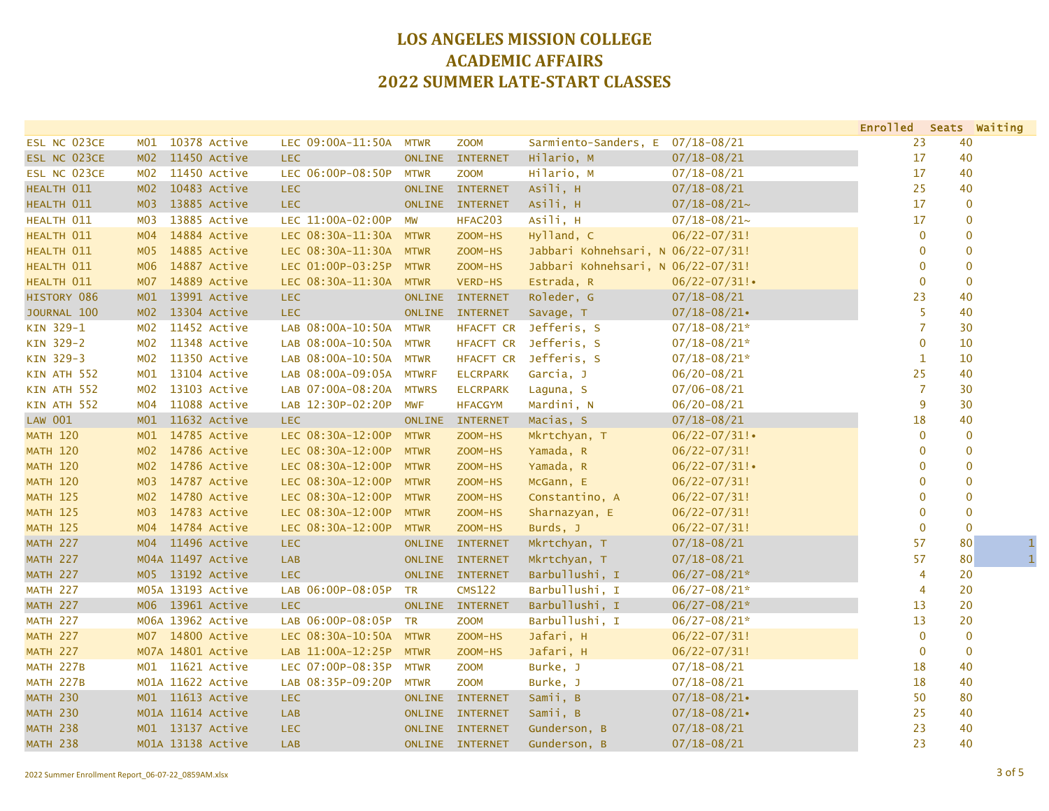|                  |                 |                   |                        |               |                  |                                    |                   | Enrolled Seats Waiting |              |              |
|------------------|-----------------|-------------------|------------------------|---------------|------------------|------------------------------------|-------------------|------------------------|--------------|--------------|
| ESL NC 023CE     | MO1             | 10378 Active      | LEC 09:00A-11:50A      | <b>MTWR</b>   | <b>ZOOM</b>      | Sarmiento-Sanders, E               | $07/18 - 08/21$   | 23                     | 40           |              |
| ESL NC 023CE     | MO2             | 11450 Active      | <b>LEC</b>             | <b>ONLINE</b> | <b>INTERNET</b>  | Hilario, M                         | $07/18 - 08/21$   | 17                     | 40           |              |
| ESL NC 023CE     | M02             | 11450 Active      | LEC 06:00P-08:50P      | <b>MTWR</b>   | <b>ZOOM</b>      | Hilario, M                         | $07/18 - 08/21$   | 17                     | 40           |              |
| HEALTH 011       |                 | M02 10483 Active  | <b>LEC</b>             | <b>ONLINE</b> | <b>INTERNET</b>  | Asili, H                           | $07/18 - 08/21$   | 25                     | 40           |              |
| HEALTH 011       | M <sub>03</sub> | 13885 Active      | <b>LEC</b>             | <b>ONLINE</b> | <b>INTERNET</b>  | Asili, H                           | $07/18 - 08/21$ ~ | 17                     | $\mathbf{0}$ |              |
| HEALTH 011       | <b>MO3</b>      | 13885 Active      | LEC 11:00A-02:00P      | <b>MW</b>     | HFAC203          | Asili, H                           | $07/18 - 08/21$ ~ | 17                     | $\mathbf{0}$ |              |
| HEALTH 011       | MO4             | 14884 Active      | LEC 08:30A-11:30A MTWR |               | ZOOM-HS          | Hylland, C                         | $06/22 - 07/31!$  | $\mathbf 0$            |              | $\mathbf{0}$ |
| HEALTH 011       | M <sub>05</sub> | 14885 Active      | LEC 08:30A-11:30A MTWR |               | ZOOM-HS          | Jabbari Kohnehsari, N 06/22-07/31! |                   | 0                      |              | $\mathbf{0}$ |
| HEALTH 011       | M06             | 14887 Active      | LEC 01:00P-03:25P      | <b>MTWR</b>   | ZOOM-HS          | Jabbari Kohnehsari, N 06/22-07/31! |                   | 0                      | $\mathbf 0$  |              |
| HEALTH 011       | M07             | 14889 Active      | LEC 08:30A-11:30A      | <b>MTWR</b>   | VERD-HS          | Estrada, R                         | $06/22 - 07/31$ ! | $\overline{0}$         | $\mathbf 0$  |              |
| HISTORY 086      | M01             | 13991 Active      | <b>LEC</b>             | <b>ONLINE</b> | <b>INTERNET</b>  | Roleder, G                         | $07/18 - 08/21$   | 23                     | 40           |              |
| JOURNAL 100      | MO2             | 13304 Active      | <b>LEC</b>             | ONLINE        | <b>INTERNET</b>  | Savage, T                          | $07/18 - 08/21$   | 5                      | 40           |              |
| KIN 329-1        | M02             | 11452 Active      | LAB 08:00A-10:50A      | <b>MTWR</b>   | HFACFT CR        | Jefferis, S                        | $07/18 - 08/21*$  | $\overline{7}$         | 30           |              |
| KIN 329-2        | M02             | 11348 Active      | LAB 08:00A-10:50A      | <b>MTWR</b>   | HFACFT CR        | Jefferis, S                        | $07/18 - 08/21*$  | $\overline{0}$         | 10           |              |
| KIN 329-3        | M02             | 11350 Active      | LAB 08:00A-10:50A      | <b>MTWR</b>   | <b>HFACFT CR</b> | Jefferis, S                        | $07/18 - 08/21*$  | $\mathbf{1}$           | 10           |              |
| KIN ATH 552      | M <sub>01</sub> | 13104 Active      | LAB 08:00A-09:05A      | <b>MTWRF</b>  | <b>ELCRPARK</b>  | Garcia, J                          | $06/20 - 08/21$   | 25                     | 40           |              |
| KIN ATH 552      | M02             | 13103 Active      | LAB 07:00A-08:20A      | <b>MTWRS</b>  | <b>ELCRPARK</b>  | Laguna, S                          | $07/06 - 08/21$   | $\overline{7}$         | 30           |              |
| KIN ATH 552      | MO4             | 11088 Active      | LAB 12:30P-02:20P      | <b>MWF</b>    | <b>HFACGYM</b>   | Mardini, N                         | $06/20 - 08/21$   | 9                      | 30           |              |
| <b>LAW 001</b>   | M01             | 11632 Active      | <b>LEC</b>             | <b>ONLINE</b> | <b>INTERNET</b>  | Macias, S                          | $07/18 - 08/21$   | 18                     | 40           |              |
| <b>MATH 120</b>  |                 | M01 14785 Active  | LEC 08:30A-12:00P      | <b>MTWR</b>   | ZOOM-HS          | Mkrtchyan, T                       | $06/22 - 07/31$ ! | $\mathbf 0$            | $\mathbf{0}$ |              |
| <b>MATH 120</b>  |                 | M02 14786 Active  | LEC 08:30A-12:00P      | <b>MTWR</b>   | ZOOM-HS          | Yamada, R                          | $06/22 - 07/31!$  | 0                      |              | $\mathbf 0$  |
| <b>MATH 120</b>  | M02             | 14786 Active      | LEC 08:30A-12:00P      | <b>MTWR</b>   | ZOOM-HS          | Yamada, R                          | $06/22 - 07/31!$  | $\mathbf{0}$           | $\mathbf 0$  |              |
| <b>MATH 120</b>  | M03             | 14787 Active      | LEC 08:30A-12:00P      | <b>MTWR</b>   | ZOOM-HS          | McGann, E                          | $06/22 - 07/31!$  | $\mathbf{0}$           |              | $\mathbf{0}$ |
| <b>MATH 125</b>  | M <sub>02</sub> | 14780 Active      | LEC 08:30A-12:00P      | <b>MTWR</b>   | ZOOM-HS          | Constantino, A                     | $06/22 - 07/31!$  | $\mathbf{0}$           |              | $\mathbf{0}$ |
| <b>MATH 125</b>  | MO3             | 14783 Active      | LEC 08:30A-12:00P      | <b>MTWR</b>   | ZOOM-HS          | Sharnazyan, E                      | $06/22 - 07/31!$  | 0                      |              | $\mathbf{0}$ |
| <b>MATH 125</b>  | MO4             | 14784 Active      | LEC 08:30A-12:00P      | <b>MTWR</b>   | ZOOM-HS          | Burds, J                           | $06/22 - 07/31!$  | $\overline{0}$         | $\mathbf{0}$ |              |
| <b>MATH 227</b>  | MO4             | 11496 Active      | <b>LEC</b>             | <b>ONLINE</b> | <b>INTERNET</b>  | Mkrtchyan, T                       | $07/18 - 08/21$   | 57                     | 80           | 1            |
| <b>MATH 227</b>  |                 | M04A 11497 Active | <b>LAB</b>             | <b>ONLINE</b> | <b>INTERNET</b>  | Mkrtchyan, T                       | $07/18 - 08/21$   | 57                     | 80           | $\mathbf{1}$ |
| <b>MATH 227</b>  |                 | M05 13192 Active  | <b>LEC</b>             |               | ONLINE INTERNET  | Barbullushi, I                     | $06/27 - 08/21*$  | $\overline{4}$         | 20           |              |
| <b>MATH 227</b>  |                 | M05A 13193 Active | LAB 06:00P-08:05P      | TR            | <b>CMS122</b>    | Barbullushi, I                     | $06/27 - 08/21*$  | $\overline{4}$         | 20           |              |
| <b>MATH 227</b>  |                 | M06 13961 Active  | <b>LEC</b>             | <b>ONLINE</b> | <b>INTERNET</b>  | Barbullushi, I                     | $06/27 - 08/21*$  | 13                     | 20           |              |
| <b>MATH 227</b>  |                 | M06A 13962 Active | LAB 06:00P-08:05P      | <b>TR</b>     | <b>ZOOM</b>      | Barbullushi, I                     | $06/27 - 08/21*$  | 13                     | 20           |              |
| <b>MATH 227</b>  | M <sub>07</sub> | 14800 Active      | LEC 08:30A-10:50A      | <b>MTWR</b>   | ZOOM-HS          | Jafari, H                          | $06/22 - 07/31!$  | $\mathbf 0$            | $\mathbf{0}$ |              |
| <b>MATH 227</b>  |                 | M07A 14801 Active | LAB 11:00A-12:25P      | <b>MTWR</b>   | ZOOM-HS          | Jafari, H                          | $06/22 - 07/31!$  | $\mathbf 0$            | $\mathbf 0$  |              |
| MATH 227B        |                 | M01 11621 Active  | LEC 07:00P-08:35P      | <b>MTWR</b>   | <b>ZOOM</b>      | Burke, J                           | $07/18 - 08/21$   | 18                     | 40           |              |
| <b>MATH 227B</b> |                 | M01A 11622 Active | LAB 08:35P-09:20P      | <b>MTWR</b>   | <b>ZOOM</b>      | Burke, J                           | $07/18 - 08/21$   | 18                     | 40           |              |
| <b>MATH 230</b>  |                 | M01 11613 Active  | <b>LEC</b>             | <b>ONLINE</b> | <b>INTERNET</b>  | Samii, B                           | $07/18 - 08/21$   | 50                     | 80           |              |
| <b>MATH 230</b>  |                 | M01A 11614 Active | <b>LAB</b>             | <b>ONLINE</b> | <b>INTERNET</b>  | Samii, B                           | $07/18 - 08/21$   | 25                     | 40           |              |
| <b>MATH 238</b>  |                 | M01 13137 Active  | <b>LEC</b>             | <b>ONLINE</b> | <b>INTERNET</b>  | Gunderson, B                       | $07/18 - 08/21$   | 23                     | 40           |              |
| <b>MATH 238</b>  |                 | M01A 13138 Active | <b>LAB</b>             |               | ONLINE INTERNET  | Gunderson, B                       | $07/18 - 08/21$   | 23                     | 40           |              |
|                  |                 |                   |                        |               |                  |                                    |                   |                        |              |              |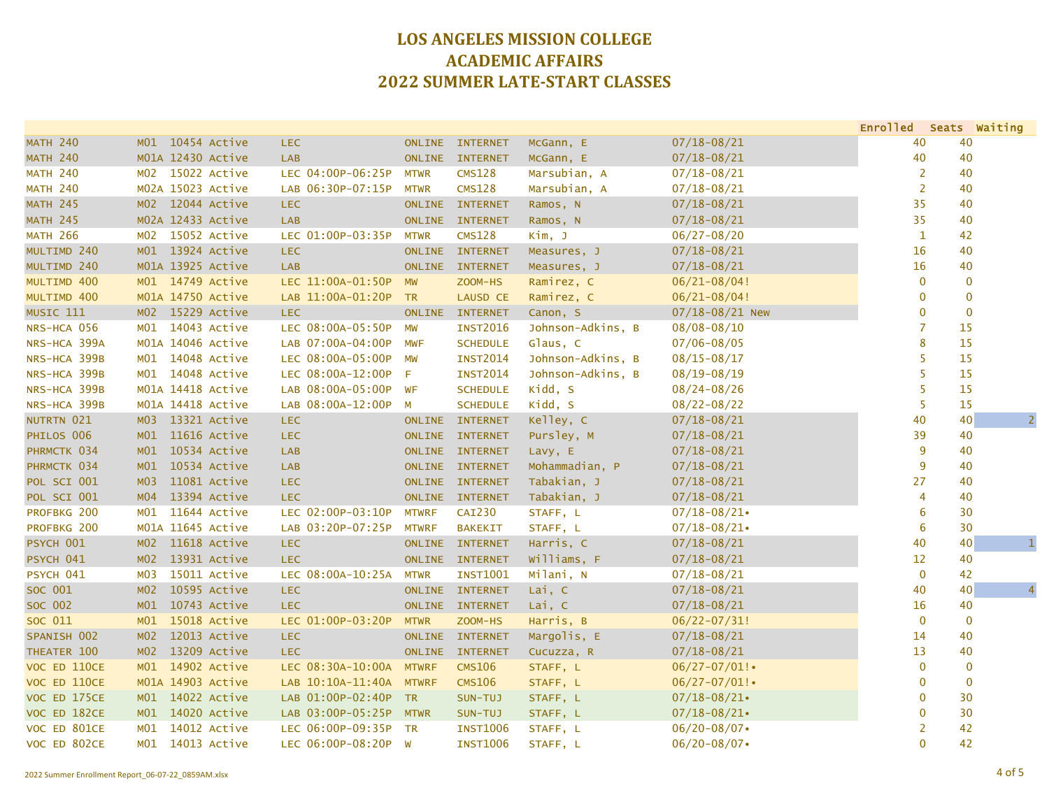|                 |                                 |                         |               |                 |                   |                   | Enrolled Seats Waiting |    |                |
|-----------------|---------------------------------|-------------------------|---------------|-----------------|-------------------|-------------------|------------------------|----|----------------|
| <b>MATH 240</b> | M01 10454 Active                | <b>LEC</b>              | <b>ONLINE</b> | <b>INTERNET</b> | McGann, E         | $07/18 - 08/21$   | 40                     | 40 |                |
| <b>MATH 240</b> | M01A 12430 Active               | <b>LAB</b>              | <b>ONLINE</b> | <b>INTERNET</b> | McGann, E         | $07/18 - 08/21$   | 40                     | 40 |                |
| <b>MATH 240</b> | M02 15022 Active                | LEC 04:00P-06:25P       | <b>MTWR</b>   | <b>CMS128</b>   | Marsubian, A      | $07/18 - 08/21$   | $\overline{2}$         | 40 |                |
| <b>MATH 240</b> | M02A 15023 Active               | LAB 06:30P-07:15P       | <b>MTWR</b>   | <b>CMS128</b>   | Marsubian, A      | $07/18 - 08/21$   | $\overline{2}$         | 40 |                |
| <b>MATH 245</b> | M02 12044 Active                | <b>LEC</b>              | <b>ONLINE</b> | <b>INTERNET</b> | Ramos, N          | $07/18 - 08/21$   | 35                     | 40 |                |
| <b>MATH 245</b> | M02A 12433 Active               | LAB                     | <b>ONLINE</b> | <b>INTERNET</b> | Ramos, N          | $07/18 - 08/21$   | 35                     | 40 |                |
| <b>MATH 266</b> | M02 15052 Active                | LEC 01:00P-03:35P       | <b>MTWR</b>   | <b>CMS128</b>   | Kim, J            | $06/27 - 08/20$   | $\mathbf{1}$           | 42 |                |
| MULTIMD 240     | M01 13924 Active                | <b>LEC</b>              | <b>ONLINE</b> | <b>INTERNET</b> | Measures, J       | $07/18 - 08/21$   | 16                     | 40 |                |
| MULTIMD 240     | M01A 13925 Active               | <b>LAB</b>              | <b>ONLINE</b> | <b>INTERNET</b> | Measures, J       | $07/18 - 08/21$   | 16                     | 40 |                |
| MULTIMD 400     | M01 14749 Active                | LEC 11:00A-01:50P       | <b>MW</b>     | ZOOM-HS         | Ramirez, C        | $06/21 - 08/04!$  | $\mathbf 0$            |    | $\mathbf 0$    |
| MULTIMD 400     | M01A 14750 Active               | LAB 11:00A-01:20P       | <b>TR</b>     | <b>LAUSD CE</b> | Ramirez, C        | $06/21 - 08/04!$  | 0                      |    | $\mathbf 0$    |
| MUSIC 111       | M02 15229 Active                | <b>LEC</b>              | <b>ONLINE</b> | <b>INTERNET</b> | Canon, S          | 07/18-08/21 New   | $\mathbf{0}$           |    | $\mathbf 0$    |
| NRS-HCA 056     | M01 14043 Active                | LEC 08:00A-05:50P       | <b>MW</b>     | <b>INST2016</b> | Johnson-Adkins, B | $08/08 - 08/10$   | $\overline{7}$         | 15 |                |
| NRS-HCA 399A    | M01A 14046 Active               | LAB 07:00A-04:00P       | <b>MWF</b>    | <b>SCHEDULE</b> | Glaus, C          | $07/06 - 08/05$   | 8                      | 15 |                |
| NRS-HCA 399B    | M01 14048 Active                | LEC 08:00A-05:00P       | MW            | <b>INST2014</b> | Johnson-Adkins, B | $08/15 - 08/17$   | 5                      | 15 |                |
| NRS-HCA 399B    | M01 14048 Active                | LEC 08:00A-12:00P       | F             | <b>INST2014</b> | Johnson-Adkins, B | $08/19 - 08/19$   | 5                      | 15 |                |
| NRS-HCA 399B    | M01A 14418 Active               | LAB 08:00A-05:00P       | WF            | <b>SCHEDULE</b> | Kidd, S           | $08/24 - 08/26$   | 5                      | 15 |                |
| NRS-HCA 399B    | M01A 14418 Active               | LAB 08:00A-12:00P       | M             | <b>SCHEDULE</b> | Kidd, S           | $08/22 - 08/22$   | 5                      | 15 |                |
| NUTRTN 021      | M03 13321 Active                | <b>LEC</b>              | <b>ONLINE</b> | <b>INTERNET</b> | Kelley, C         | $07/18 - 08/21$   | 40                     | 40 | $\overline{2}$ |
| PHILOS 006      | M01 11616 Active                | <b>LEC</b>              | <b>ONLINE</b> | <b>INTERNET</b> | Pursley, M        | $07/18 - 08/21$   | 39                     | 40 |                |
| PHRMCTK 034     | M01 10534 Active                | <b>LAB</b>              | <b>ONLINE</b> | <b>INTERNET</b> | Lavy, E           | $07/18 - 08/21$   | 9                      | 40 |                |
| PHRMCTK 034     | 10534 Active<br>M <sub>01</sub> | <b>LAB</b>              | <b>ONLINE</b> | <b>INTERNET</b> | Mohammadian, P    | $07/18 - 08/21$   | 9                      | 40 |                |
| POL SCI 001     | 11081 Active<br>M <sub>03</sub> | <b>LEC</b>              |               | ONLINE INTERNET | Tabakian, J       | $07/18 - 08/21$   | 27                     | 40 |                |
| POL SCI 001     | 13394 Active<br>MO4             | <b>LEC</b>              | <b>ONLINE</b> | <b>INTERNET</b> | Tabakian, J       | $07/18 - 08/21$   | 4                      | 40 |                |
| PROFBKG 200     | 11644 Active<br>MO1             | LEC 02:00P-03:10P       | <b>MTWRF</b>  | <b>CAI230</b>   | STAFF, L          | $07/18 - 08/21$   | 6                      | 30 |                |
| PROFBKG 200     | M01A 11645 Active               | LAB 03:20P-07:25P       | <b>MTWRF</b>  | <b>BAKEKIT</b>  | STAFF, L          | $07/18 - 08/21$   | 6                      | 30 |                |
| PSYCH 001       | 11618 Active<br>MO2             | <b>LEC</b>              | <b>ONLINE</b> | <b>INTERNET</b> | Harris, C         | $07/18 - 08/21$   | 40                     | 40 | $\mathbf{1}$   |
| PSYCH 041       | MO2<br>13931 Active             | <b>LEC</b>              | <b>ONLINE</b> | <b>INTERNET</b> | Williams, F       | $07/18 - 08/21$   | 12                     | 40 |                |
| PSYCH 041       | M03<br>15011 Active             | LEC 08:00A-10:25A       | <b>MTWR</b>   | <b>INST1001</b> | Milani, N         | $07/18 - 08/21$   | $\mathbf{0}$           | 42 |                |
| SOC 001         | 10595 Active<br>MO2             | <b>LEC</b>              | <b>ONLINE</b> | <b>INTERNET</b> | Lai, C            | $07/18 - 08/21$   | 40                     | 40 | $\overline{4}$ |
| SOC 002         | 10743 Active<br>M01             | <b>LEC</b>              | <b>ONLINE</b> | <b>INTERNET</b> | Lai, C            | $07/18 - 08/21$   | 16                     | 40 |                |
| SOC 011         | M01 15018 Active                | LEC 01:00P-03:20P       | <b>MTWR</b>   | ZOOM-HS         | Harris, B         | $06/22 - 07/31!$  | $\overline{0}$         |    | $\mathbf{0}$   |
| SPANISH 002     | 12013 Active<br>M <sub>02</sub> | <b>LEC</b>              | <b>ONLINE</b> | <b>INTERNET</b> | Margolis, E       | $07/18 - 08/21$   | 14                     | 40 |                |
| THEATER 100     | 13209 Active<br>MO2             | <b>LEC</b>              | <b>ONLINE</b> | <b>INTERNET</b> | Cucuzza, R        | $07/18 - 08/21$   | 13                     | 40 |                |
| VOC ED 110CE    | M01 14902 Active                | LEC 08:30A-10:00A MTWRF |               | <b>CMS106</b>   | STAFF, L          | $06/27 - 07/01$ ! | $\mathbf{0}$           |    | $\mathbf{0}$   |
| VOC ED 110CE    | M01A 14903 Active               | LAB 10:10A-11:40A MTWRF |               | <b>CMS106</b>   | STAFF, L          | $06/27 - 07/01$ ! | 0                      |    | $\mathbf{0}$   |
| VOC ED 175CE    | M01 14022 Active                | LAB 01:00P-02:40P       | TR            | SUN-TUJ         | STAFF, L          | $07/18 - 08/21$   | 0                      | 30 |                |
| VOC ED 182CE    | M01 14020 Active                | LAB 03:00P-05:25P       | <b>MTWR</b>   | SUN-TUJ         | STAFF, L          | $07/18 - 08/21$   | 0                      | 30 |                |
| VOC ED 801CE    | 14012 Active<br>MO1             | LEC 06:00P-09:35P       | <b>TR</b>     | <b>INST1006</b> | STAFF, L          | $06/20 - 08/07$   | 2                      | 42 |                |
| VOC ED 802CE    | M01 14013 Active                | LEC 06:00P-08:20P W     |               | <b>INST1006</b> | STAFF, L          | $06/20 - 08/07$   | $\Omega$               | 42 |                |
|                 |                                 |                         |               |                 |                   |                   |                        |    |                |